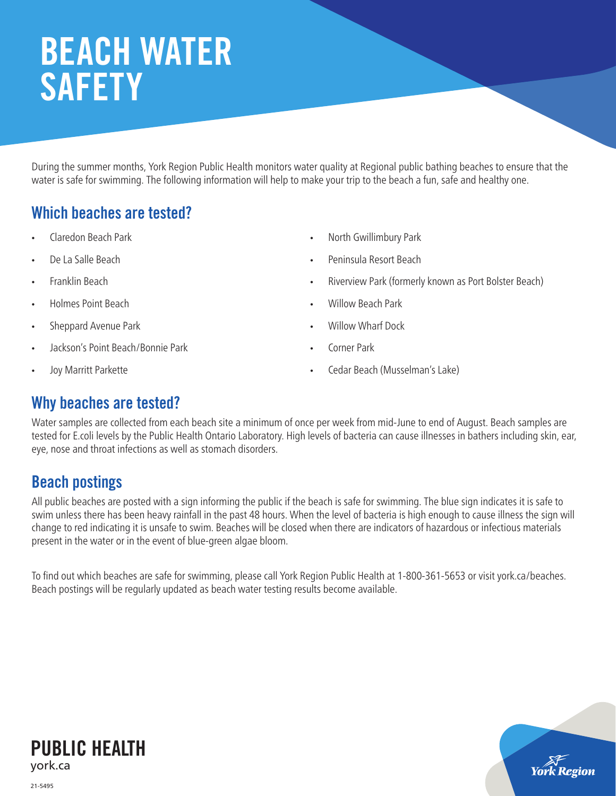# BEACH WATER **SAFETY**

During the summer months, York Region Public Health monitors water quality at Regional public bathing beaches to ensure that the water is safe for swimming. The following information will help to make your trip to the beach a fun, safe and healthy one.

## Which beaches are tested?

- Claredon Beach Park
- De La Salle Beach
- Franklin Beach
- Holmes Point Beach
- Sheppard Avenue Park
- Jackson's Point Beach/Bonnie Park
- Joy Marritt Parkette
- North Gwillimbury Park
- Peninsula Resort Beach
- Riverview Park (formerly known as Port Bolster Beach)

york Region

- Willow Beach Park
- Willow Wharf Dock
- Corner Park
- Cedar Beach (Musselman's Lake)

## Why beaches are tested?

Water samples are collected from each beach site a minimum of once per week from mid-June to end of August. Beach samples are tested for E.coli levels by the Public Health Ontario Laboratory. High levels of bacteria can cause illnesses in bathers including skin, ear, eye, nose and throat infections as well as stomach disorders.

## Beach postings

All public beaches are posted with a sign informing the public if the beach is safe for swimming. The blue sign indicates it is safe to swim unless there has been heavy rainfall in the past 48 hours. When the level of bacteria is high enough to cause illness the sign will change to red indicating it is unsafe to swim. Beaches will be closed when there are indicators of hazardous or infectious materials present in the water or in the event of blue-green algae bloom.

To find out which beaches are safe for swimming, please call York Region Public Health at 1-800-361-5653 or visit york.ca/beaches. Beach postings will be regularly updated as beach water testing results become available.



21-5495